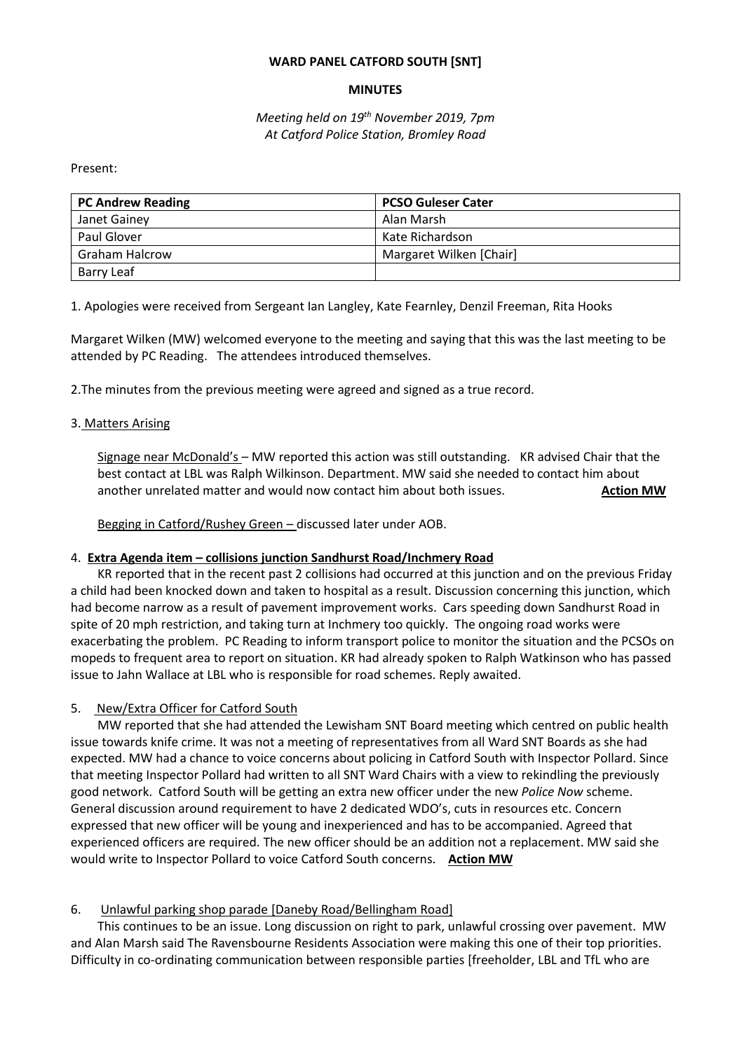#### **WARD PANEL CATFORD SOUTH [SNT]**

## **MINUTES**

*Meeting held on 19th November 2019, 7pm At Catford Police Station, Bromley Road*

Present:

| <b>PC Andrew Reading</b> | <b>PCSO Guleser Cater</b> |
|--------------------------|---------------------------|
| Janet Gainey             | Alan Marsh                |
| Paul Glover              | Kate Richardson           |
| <b>Graham Halcrow</b>    | Margaret Wilken [Chair]   |
| Barry Leaf               |                           |

1. Apologies were received from Sergeant Ian Langley, Kate Fearnley, Denzil Freeman, Rita Hooks

Margaret Wilken (MW) welcomed everyone to the meeting and saying that this was the last meeting to be attended by PC Reading. The attendees introduced themselves.

2.The minutes from the previous meeting were agreed and signed as a true record.

#### 3. Matters Arising

Signage near McDonald's – MW reported this action was still outstanding. KR advised Chair that the best contact at LBL was Ralph Wilkinson. Department. MW said she needed to contact him about another unrelated matter and would now contact him about both issues. **Action MW**

Begging in Catford/Rushey Green – discussed later under AOB.

#### 4. **Extra Agenda item – collisions junction Sandhurst Road/Inchmery Road**

KR reported that in the recent past 2 collisions had occurred at this junction and on the previous Friday a child had been knocked down and taken to hospital as a result. Discussion concerning this junction, which had become narrow as a result of pavement improvement works. Cars speeding down Sandhurst Road in spite of 20 mph restriction, and taking turn at Inchmery too quickly. The ongoing road works were exacerbating the problem. PC Reading to inform transport police to monitor the situation and the PCSOs on mopeds to frequent area to report on situation. KR had already spoken to Ralph Watkinson who has passed issue to Jahn Wallace at LBL who is responsible for road schemes. Reply awaited.

#### 5. New/Extra Officer for Catford South

MW reported that she had attended the Lewisham SNT Board meeting which centred on public health issue towards knife crime. It was not a meeting of representatives from all Ward SNT Boards as she had expected. MW had a chance to voice concerns about policing in Catford South with Inspector Pollard. Since that meeting Inspector Pollard had written to all SNT Ward Chairs with a view to rekindling the previously good network. Catford South will be getting an extra new officer under the new *Police Now* scheme. General discussion around requirement to have 2 dedicated WDO's, cuts in resources etc. Concern expressed that new officer will be young and inexperienced and has to be accompanied. Agreed that experienced officers are required. The new officer should be an addition not a replacement. MW said she would write to Inspector Pollard to voice Catford South concerns. **Action MW**

#### 6. Unlawful parking shop parade [Daneby Road/Bellingham Road]

This continues to be an issue. Long discussion on right to park, unlawful crossing over pavement. MW and Alan Marsh said The Ravensbourne Residents Association were making this one of their top priorities. Difficulty in co-ordinating communication between responsible parties [freeholder, LBL and TfL who are